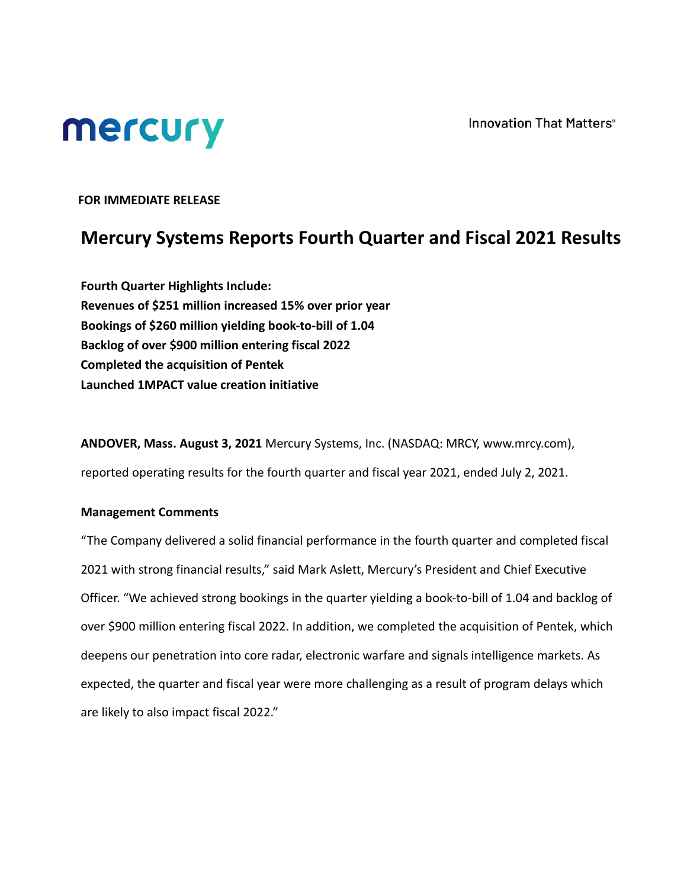Innovation That Matters<sup>®</sup>



**FOR IMMEDIATE RELEASE**

# **Mercury Systems Reports Fourth Quarter and Fiscal 2021 Results**

**Fourth Quarter Highlights Include: Revenues of \$251 million increased 15% over prior year Bookings of \$260 million yielding book-to-bill of 1.04 Backlog of over \$900 million entering fiscal 2022 Completed the acquisition of Pentek Launched 1MPACT value creation initiative** 

**ANDOVER, Mass. August 3, 2021** Mercury Systems, Inc. (NASDAQ: MRCY, [www.mrcy.com\),](http://www.mrcy.com)  reported operating results for the fourth quarter and fiscal year 2021, ended July 2, 2021.

# **Management Comments**

"The Company delivered a solid financial performance in the fourth quarter and completed fiscal 2021 with strong financial results," said Mark Aslett, Mercury's President and Chief Executive Officer. "We achieved strong bookings in the quarter yielding a book-to-bill of 1.04 and backlog of over \$900 million entering fiscal 2022. In addition, we completed the acquisition of Pentek, which deepens our penetration into core radar, electronic warfare and signals intelligence markets. As expected, the quarter and fiscal year were more challenging as a result of program delays which are likely to also impact fiscal 2022."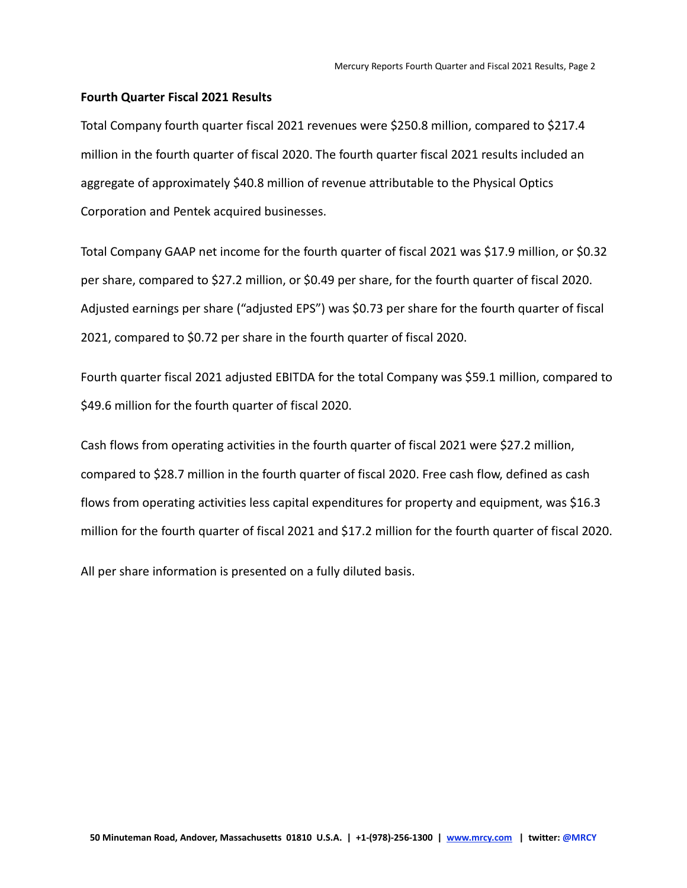### **Fourth Quarter Fiscal 2021 Results**

Total Company fourth quarter fiscal 2021 revenues were \$250.8 million, compared to \$217.4 million in the fourth quarter of fiscal 2020. The fourth quarter fiscal 2021 results included an aggregate of approximately \$40.8 million of revenue attributable to the Physical Optics Corporation and Pentek acquired businesses.

Total Company GAAP net income for the fourth quarter of fiscal 2021 was \$17.9 million, or \$0.32 per share, compared to \$27.2 million, or \$0.49 per share, for the fourth quarter of fiscal 2020. Adjusted earnings per share ("adjusted EPS") was \$0.73 per share for the fourth quarter of fiscal 2021, compared to \$0.72 per share in the fourth quarter of fiscal 2020.

Fourth quarter fiscal 2021 adjusted EBITDA for the total Company was \$59.1 million, compared to \$49.6 million for the fourth quarter of fiscal 2020.

Cash flows from operating activities in the fourth quarter of fiscal 2021 were \$27.2 million, compared to \$28.7 million in the fourth quarter of fiscal 2020. Free cash flow, defined as cash flows from operating activities less capital expenditures for property and equipment, was \$16.3 million for the fourth quarter of fiscal 2021 and \$17.2 million for the fourth quarter of fiscal 2020.

All per share information is presented on a fully diluted basis.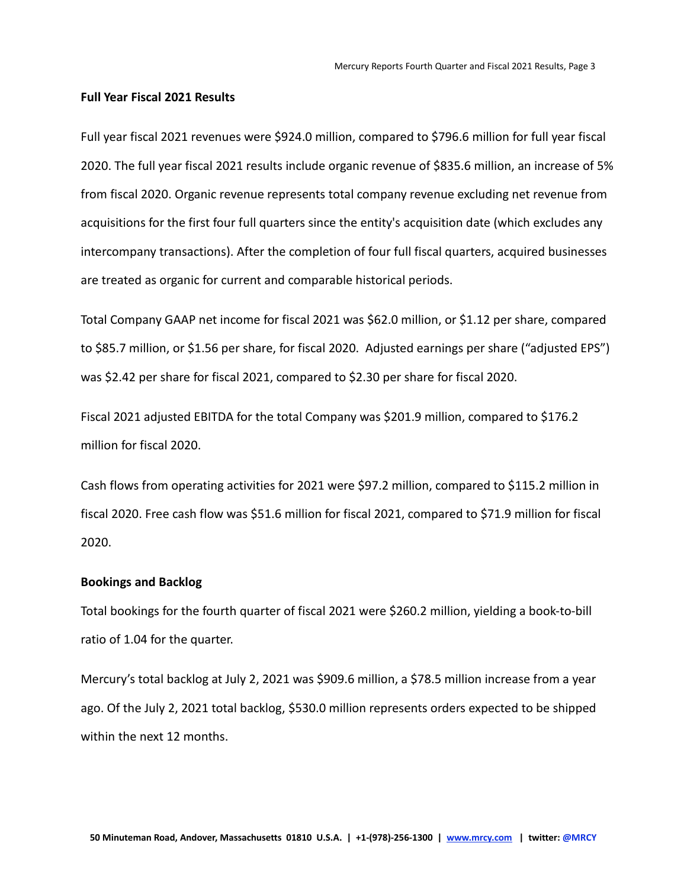### **Full Year Fiscal 2021 Results**

Full year fiscal 2021 revenues were \$924.0 million, compared to \$796.6 million for full year fiscal 2020. The full year fiscal 2021 results include organic revenue of \$835.6 million, an increase of 5% from fiscal 2020. Organic revenue represents total company revenue excluding net revenue from acquisitions for the first four full quarters since the entity's acquisition date (which excludes any intercompany transactions). After the completion of four full fiscal quarters, acquired businesses are treated as organic for current and comparable historical periods.

Total Company GAAP net income for fiscal 2021 was \$62.0 million, or \$1.12 per share, compared to \$85.7 million, or \$1.56 per share, for fiscal 2020. Adjusted earnings per share ("adjusted EPS") was \$2.42 per share for fiscal 2021, compared to \$2.30 per share for fiscal 2020.

Fiscal 2021 adjusted EBITDA for the total Company was \$201.9 million, compared to \$176.2 million for fiscal 2020.

Cash flows from operating activities for 2021 were \$97.2 million, compared to \$115.2 million in fiscal 2020. Free cash flow was \$51.6 million for fiscal 2021, compared to \$71.9 million for fiscal 2020.

# **Bookings and Backlog**

Total bookings for the fourth quarter of fiscal 2021 were \$260.2 million, yielding a book-to-bill ratio of 1.04 for the quarter.

Mercury's total backlog at July 2, 2021 was \$909.6 million, a \$78.5 million increase from a year ago. Of the July 2, 2021 total backlog, \$530.0 million represents orders expected to be shipped within the next 12 months.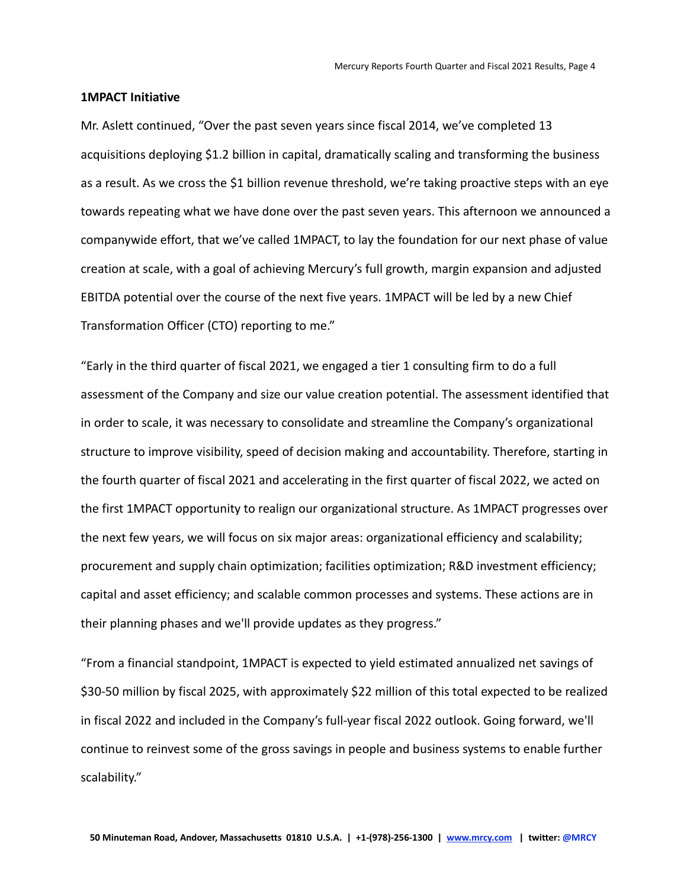### **1MPACT Initiative**

Mr. Aslett continued, "Over the past seven years since fiscal 2014, we've completed 13 acquisitions deploying \$1.2 billion in capital, dramatically scaling and transforming the business as a result. As we cross the \$1 billion revenue threshold, we're taking proactive steps with an eye towards repeating what we have done over the past seven years. This afternoon we announced a companywide effort, that we've called 1MPACT, to lay the foundation for our next phase of value creation at scale, with a goal of achieving Mercury's full growth, margin expansion and adjusted EBITDA potential over the course of the next five years. 1MPACT will be led by a new Chief Transformation Officer (CTO) reporting to me."

"Early in the third quarter of fiscal 2021, we engaged a tier 1 consulting firm to do a full assessment of the Company and size our value creation potential. The assessment identified that in order to scale, it was necessary to consolidate and streamline the Company's organizational structure to improve visibility, speed of decision making and accountability. Therefore, starting in the fourth quarter of fiscal 2021 and accelerating in the first quarter of fiscal 2022, we acted on the first 1MPACT opportunity to realign our organizational structure. As 1MPACT progresses over the next few years, we will focus on six major areas: organizational efficiency and scalability; procurement and supply chain optimization; facilities optimization; R&D investment efficiency; capital and asset efficiency; and scalable common processes and systems. These actions are in their planning phases and we'll provide updates as they progress."

"From a financial standpoint, 1MPACT is expected to yield estimated annualized net savings of \$30-50 million by fiscal 2025, with approximately \$22 million of this total expected to be realized in fiscal 2022 and included in the Company's full-year fiscal 2022 outlook. Going forward, we'll continue to reinvest some of the gross savings in people and business systems to enable further scalability."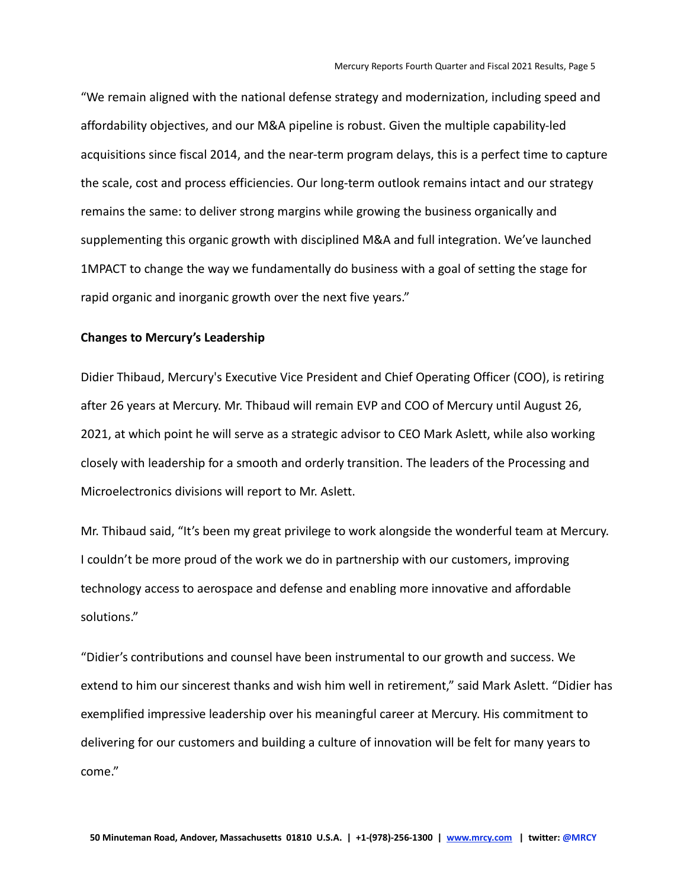"We remain aligned with the national defense strategy and modernization, including speed and affordability objectives, and our M&A pipeline is robust. Given the multiple capability-led acquisitions since fiscal 2014, and the near-term program delays, this is a perfect time to capture the scale, cost and process efficiencies. Our long-term outlook remains intact and our strategy remains the same: to deliver strong margins while growing the business organically and supplementing this organic growth with disciplined M&A and full integration. We've launched 1MPACT to change the way we fundamentally do business with a goal of setting the stage for rapid organic and inorganic growth over the next five years."

# **Changes to Mercury's Leadership**

Didier Thibaud, Mercury's Executive Vice President and Chief Operating Officer (COO), is retiring after 26 years at Mercury. Mr. Thibaud will remain EVP and COO of Mercury until August 26, 2021, at which point he will serve as a strategic advisor to CEO Mark Aslett, while also working closely with leadership for a smooth and orderly transition. The leaders of the Processing and Microelectronics divisions will report to Mr. Aslett.

Mr. Thibaud said, "It's been my great privilege to work alongside the wonderful team at Mercury. I couldn't be more proud of the work we do in partnership with our customers, improving technology access to aerospace and defense and enabling more innovative and affordable solutions."

"Didier's contributions and counsel have been instrumental to our growth and success. We extend to him our sincerest thanks and wish him well in retirement," said Mark Aslett. "Didier has exemplified impressive leadership over his meaningful career at Mercury. His commitment to delivering for our customers and building a culture of innovation will be felt for many years to come."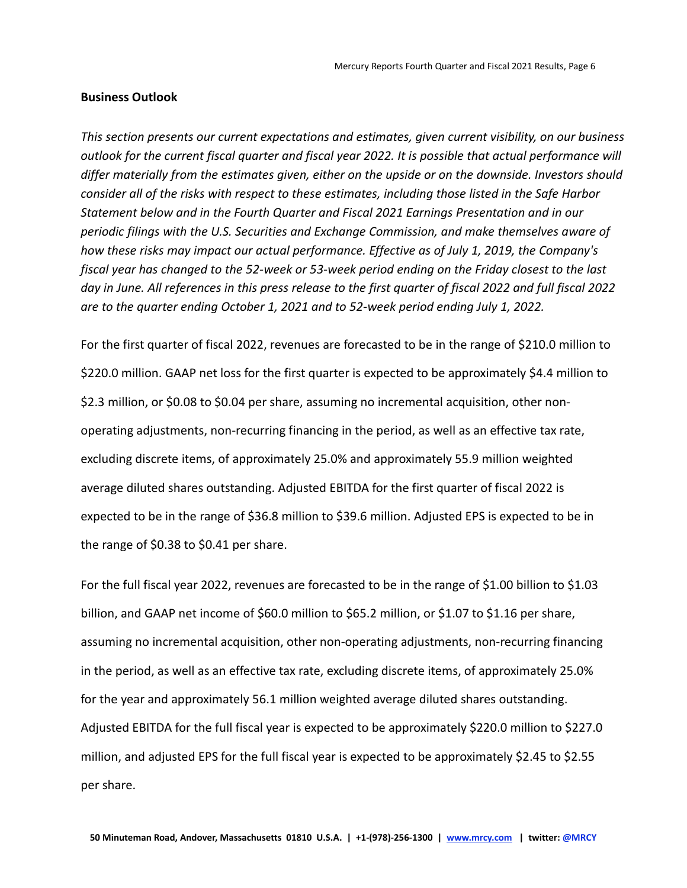# **Business Outlook**

*This section presents our current expectations and estimates, given current visibility, on our business outlook for the current fiscal quarter and fiscal year 2022. It is possible that actual performance will differ materially from the estimates given, either on the upside or on the downside. Investors should consider all of the risks with respect to these estimates, including those listed in the Safe Harbor Statement below and in the Fourth Quarter and Fiscal 2021 Earnings Presentation and in our periodic filings with the U.S. Securities and Exchange Commission, and make themselves aware of how these risks may impact our actual performance. Effective as of July 1, 2019, the Company's fiscal year has changed to the 52-week or 53-week period ending on the Friday closest to the last day in June. All references in this press release to the first quarter of fiscal 2022 and full fiscal 2022 are to the quarter ending October 1, 2021 and to 52-week period ending July 1, 2022.*

For the first quarter of fiscal 2022, revenues are forecasted to be in the range of \$210.0 million to \$220.0 million. GAAP net loss for the first quarter is expected to be approximately \$4.4 million to \$2.3 million, or \$0.08 to \$0.04 per share, assuming no incremental acquisition, other nonoperating adjustments, non-recurring financing in the period, as well as an effective tax rate, excluding discrete items, of approximately 25.0% and approximately 55.9 million weighted average diluted shares outstanding. Adjusted EBITDA for the first quarter of fiscal 2022 is expected to be in the range of \$36.8 million to \$39.6 million. Adjusted EPS is expected to be in the range of \$0.38 to \$0.41 per share.

For the full fiscal year 2022, revenues are forecasted to be in the range of \$1.00 billion to \$1.03 billion, and GAAP net income of \$60.0 million to \$65.2 million, or \$1.07 to \$1.16 per share, assuming no incremental acquisition, other non-operating adjustments, non-recurring financing in the period, as well as an effective tax rate, excluding discrete items, of approximately 25.0% for the year and approximately 56.1 million weighted average diluted shares outstanding. Adjusted EBITDA for the full fiscal year is expected to be approximately \$220.0 million to \$227.0 million, and adjusted EPS for the full fiscal year is expected to be approximately \$2.45 to \$2.55 per share.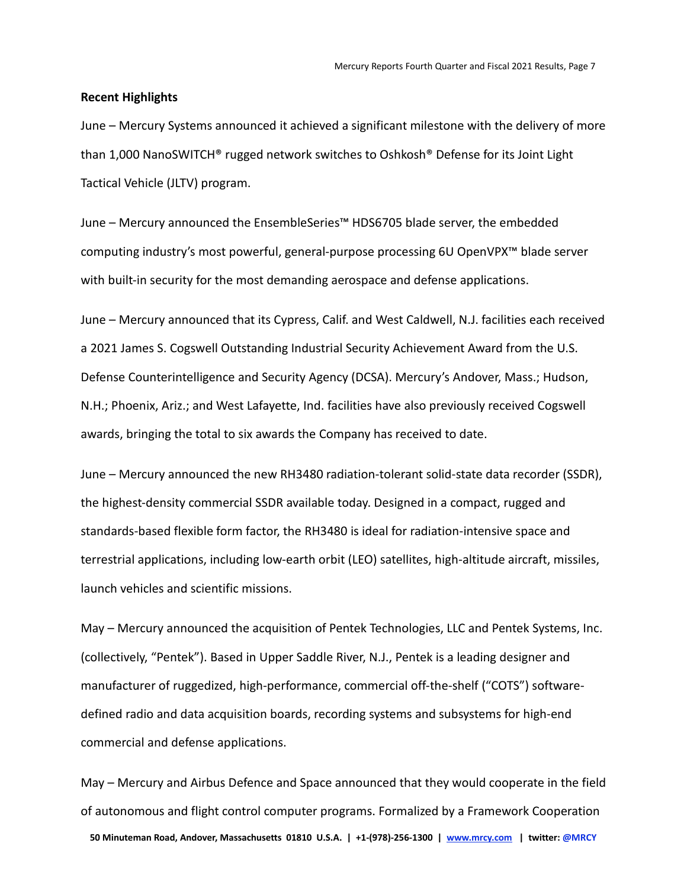# **Recent Highlights**

June – Mercury Systems announced it achieved a significant milestone with the delivery of more than 1,000 NanoSWITCH® rugged network switches to Oshkosh® Defense for its Joint Light Tactical Vehicle (JLTV) program.

June – Mercury announced the EnsembleSeries™ HDS6705 blade server, the embedded computing industry's most powerful, general-purpose processing 6U OpenVPX™ blade server with built-in security for the most demanding aerospace and defense applications.

June – Mercury announced that its Cypress, Calif. and West Caldwell, N.J. facilities each received a 2021 James S. Cogswell Outstanding Industrial Security Achievement Award from the U.S. Defense Counterintelligence and Security Agency (DCSA). Mercury's Andover, Mass.; Hudson, N.H.; Phoenix, Ariz.; and West Lafayette, Ind. facilities have also previously received Cogswell awards, bringing the total to six awards the Company has received to date.

June – Mercury announced the new RH3480 radiation-tolerant solid-state data recorder (SSDR), the highest-density commercial SSDR available today. Designed in a compact, rugged and standards-based flexible form factor, the RH3480 is ideal for radiation-intensive space and terrestrial applications, including low-earth orbit (LEO) satellites, high-altitude aircraft, missiles, launch vehicles and scientific missions.

May – Mercury announced the acquisition of Pentek Technologies, LLC and Pentek Systems, Inc. (collectively, "Pentek"). Based in Upper Saddle River, N.J., Pentek is a leading designer and manufacturer of ruggedized, high-performance, commercial off-the-shelf ("COTS") softwaredefined radio and data acquisition boards, recording systems and subsystems for high-end commercial and defense applications.

**50 Minuteman Road, Andover, Massachusetts 01810 U.S.A. | +1-(978)-256-1300 | www.mrcy.com | twitter: @MRCY** May – Mercury and Airbus Defence and Space announced that they would cooperate in the field of autonomous and flight control computer programs. Formalized by a Framework Cooperation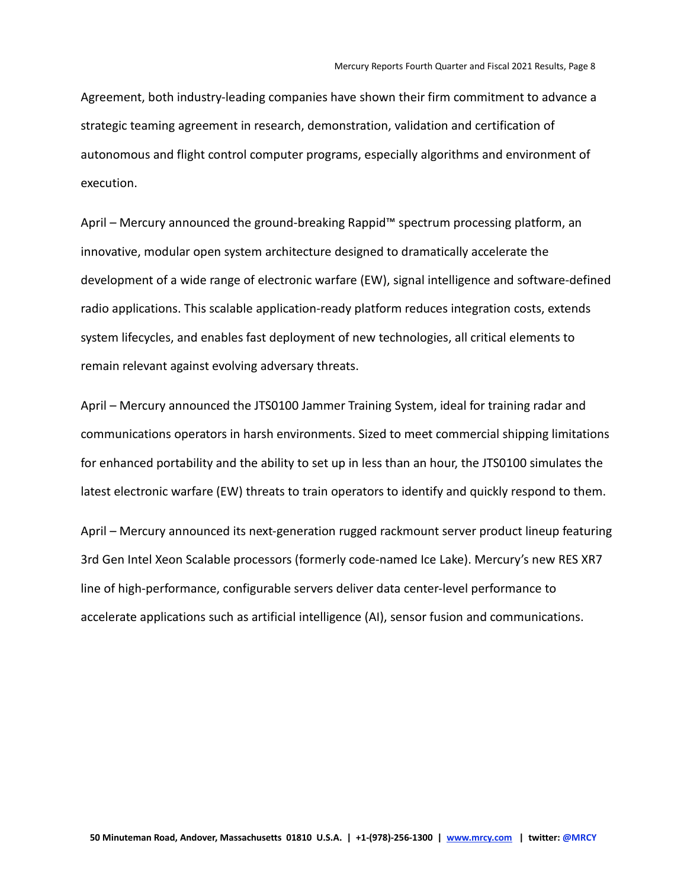Agreement, both industry-leading companies have shown their firm commitment to advance a strategic teaming agreement in research, demonstration, validation and certification of autonomous and flight control computer programs, especially algorithms and environment of execution.

April – Mercury announced the ground-breaking Rappid™ spectrum processing platform, an innovative, modular open system architecture designed to dramatically accelerate the development of a wide range of electronic warfare (EW), signal intelligence and software-defined radio applications. This scalable application-ready platform reduces integration costs, extends system lifecycles, and enables fast deployment of new technologies, all critical elements to remain relevant against evolving adversary threats.

April – Mercury announced the JTS0100 Jammer Training System, ideal for training radar and communications operators in harsh environments. Sized to meet commercial shipping limitations for enhanced portability and the ability to set up in less than an hour, the JTS0100 simulates the latest electronic warfare (EW) threats to train operators to identify and quickly respond to them.

April – Mercury announced its next-generation rugged rackmount server product lineup featuring 3rd Gen Intel Xeon Scalable processors (formerly code-named Ice Lake). Mercury's new RES XR7 line of high-performance, configurable servers deliver data center-level performance to accelerate applications such as artificial intelligence (AI), sensor fusion and communications.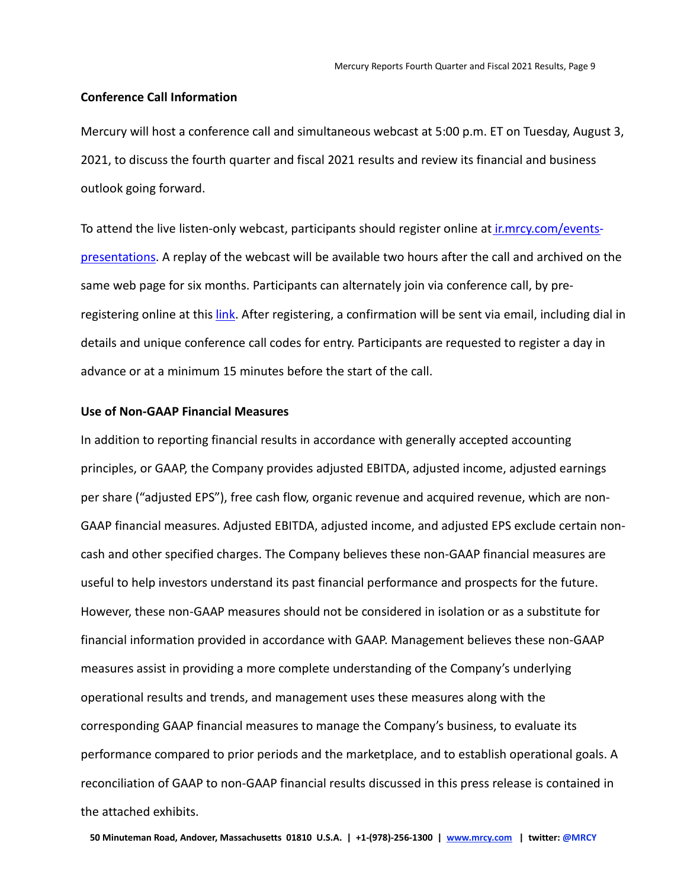### **Conference Call Information**

Mercury will host a conference call and simultaneous webcast at 5:00 p.m. ET on Tuesday, August 3, 2021, to discuss the fourth quarter and fiscal 2021 results and review its financial and business outlook going forward.

To attend the live listen-only webcast, participants should register online at [ir.mrcy.com/events](https://ir.mrcy.com/events-presentations)presentations. A replay of the webcast will be available two hours after the call and archived on the same web page for six months. Participants can alternately join via conference call, by preregistering online at this *link*. After registering, a confirmation will be sent via email, including dial in details and unique conference call codes for entry. Participants are requested to register a day in advance or at a minimum 15 minutes before the start of the call.

### **Use of Non-GAAP Financial Measures**

In addition to reporting financial results in accordance with generally accepted accounting principles, or GAAP, the Company provides adjusted EBITDA, adjusted income, adjusted earnings per share ("adjusted EPS"), free cash flow, organic revenue and acquired revenue, which are non-GAAP financial measures. Adjusted EBITDA, adjusted income, and adjusted EPS exclude certain noncash and other specified charges. The Company believes these non-GAAP financial measures are useful to help investors understand its past financial performance and prospects for the future. However, these non-GAAP measures should not be considered in isolation or as a substitute for financial information provided in accordance with GAAP. Management believes these non-GAAP measures assist in providing a more complete understanding of the Company's underlying operational results and trends, and management uses these measures along with the corresponding GAAP financial measures to manage the Company's business, to evaluate its performance compared to prior periods and the marketplace, and to establish operational goals. A reconciliation of GAAP to non-GAAP financial results discussed in this press release is contained in the attached exhibits.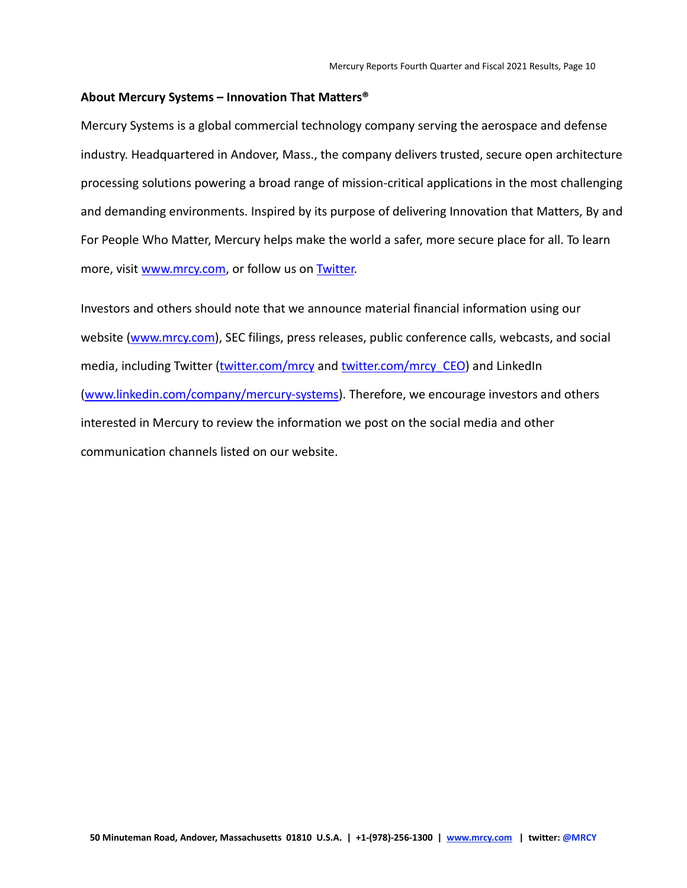# **About Mercury Systems – Innovation That Matters®**

Mercury Systems is a global commercial technology company serving the aerospace and defense industry. Headquartered in Andover, Mass., the company delivers trusted, secure open architecture processing solutions powering a broad range of mission-critical applications in the most challenging and demanding environments. Inspired by its purpose of delivering Innovation that Matters, By and For People Who Matter, Mercury helps make the world a safer, more secure place for all. To learn more, visit [www.mrcy.com, or](http://www.mrcy.com) follow us on [Twitter.](https://twitter.com/mrcy/)

Investors and others should note that we announce material financial information using our website [\(www.mrcy.com\), SE](http://www.mrcy.com)C filings, press releases, public conference calls, webcasts, and social media, including Twitter ([twitter.com/mrcy](http://www.twitter.com/mrcy) and [twitter.com/mrcy\\_CEO\)](https://www.twitter.com/mrcy_CEO) and LinkedIn ([www.linkedin.com/company/mercury-systems\). Th](http://www.linkedin.com/company/mercury-systems)erefore, we encourage investors and others interested in Mercury to review the information we post on the social media and other communication channels listed on our website.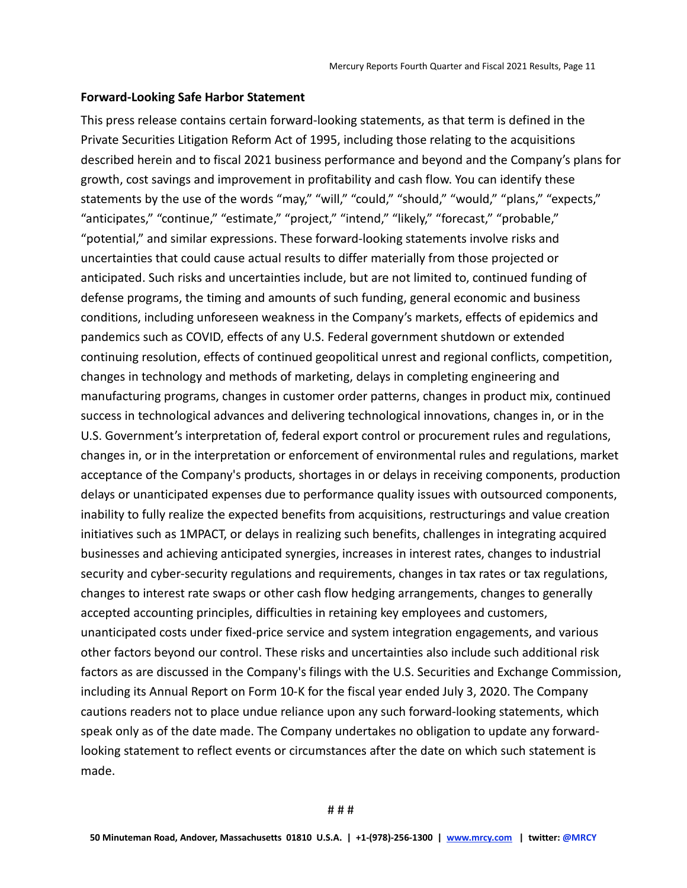# **Forward-Looking Safe Harbor Statement**

This press release contains certain forward-looking statements, as that term is defined in the Private Securities Litigation Reform Act of 1995, including those relating to the acquisitions described herein and to fiscal 2021 business performance and beyond and the Company's plans for growth, cost savings and improvement in profitability and cash flow. You can identify these statements by the use of the words "may," "will," "could," "should," "would," "plans," "expects," "anticipates," "continue," "estimate," "project," "intend," "likely," "forecast," "probable," "potential," and similar expressions. These forward-looking statements involve risks and uncertainties that could cause actual results to differ materially from those projected or anticipated. Such risks and uncertainties include, but are not limited to, continued funding of defense programs, the timing and amounts of such funding, general economic and business conditions, including unforeseen weakness in the Company's markets, effects of epidemics and pandemics such as COVID, effects of any U.S. Federal government shutdown or extended continuing resolution, effects of continued geopolitical unrest and regional conflicts, competition, changes in technology and methods of marketing, delays in completing engineering and manufacturing programs, changes in customer order patterns, changes in product mix, continued success in technological advances and delivering technological innovations, changes in, or in the U.S. Government's interpretation of, federal export control or procurement rules and regulations, changes in, or in the interpretation or enforcement of environmental rules and regulations, market acceptance of the Company's products, shortages in or delays in receiving components, production delays or unanticipated expenses due to performance quality issues with outsourced components, inability to fully realize the expected benefits from acquisitions, restructurings and value creation initiatives such as 1MPACT, or delays in realizing such benefits, challenges in integrating acquired businesses and achieving anticipated synergies, increases in interest rates, changes to industrial security and cyber-security regulations and requirements, changes in tax rates or tax regulations, changes to interest rate swaps or other cash flow hedging arrangements, changes to generally accepted accounting principles, difficulties in retaining key employees and customers, unanticipated costs under fixed-price service and system integration engagements, and various other factors beyond our control. These risks and uncertainties also include such additional risk factors as are discussed in the Company's filings with the U.S. Securities and Exchange Commission, including its Annual Report on Form 10-K for the fiscal year ended July 3, 2020. The Company cautions readers not to place undue reliance upon any such forward-looking statements, which speak only as of the date made. The Company undertakes no obligation to update any forwardlooking statement to reflect events or circumstances after the date on which such statement is made.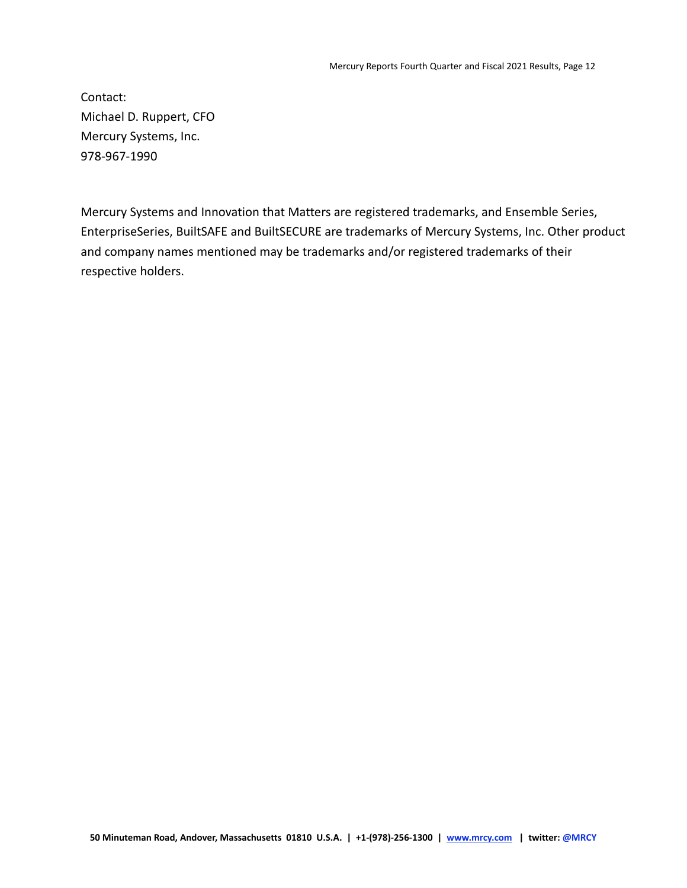Contact: Michael D. Ruppert, CFO Mercury Systems, Inc. 978-967-1990

Mercury Systems and Innovation that Matters are registered trademarks, and Ensemble Series, EnterpriseSeries, BuiltSAFE and BuiltSECURE are trademarks of Mercury Systems, Inc. Other product and company names mentioned may be trademarks and/or registered trademarks of their respective holders.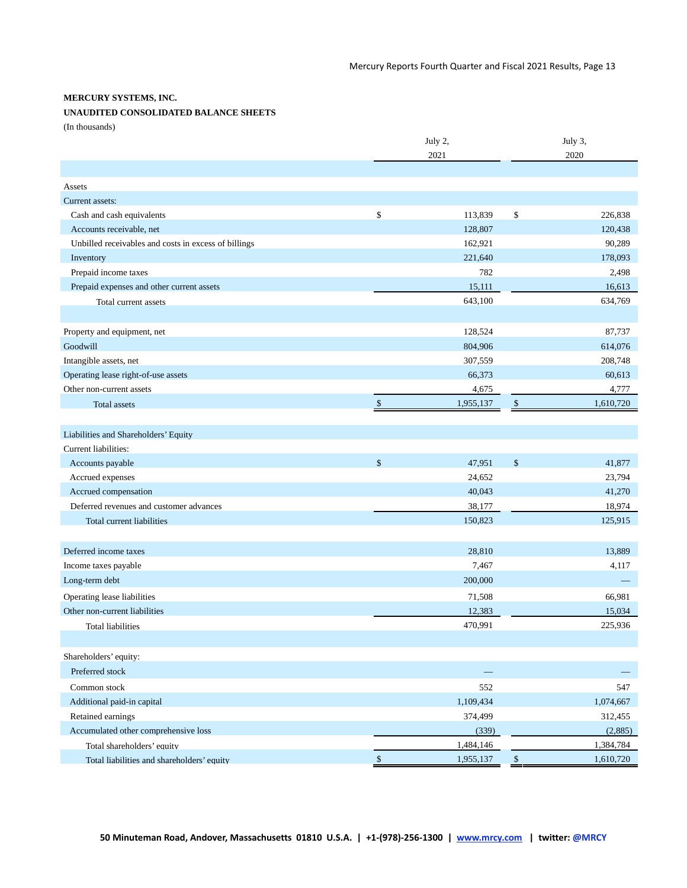#### **MERCURY SYSTEMS, INC.**

### **UNAUDITED CONSOLIDATED BALANCE SHEETS**

(In thousands)

|                                                      |                | July 2,<br>2021 | July 3,<br>2020 |                  |  |  |
|------------------------------------------------------|----------------|-----------------|-----------------|------------------|--|--|
|                                                      |                |                 |                 |                  |  |  |
| Assets                                               |                |                 |                 |                  |  |  |
| Current assets:                                      |                |                 |                 |                  |  |  |
| Cash and cash equivalents                            | $\$$           | 113,839         | \$              | 226,838          |  |  |
| Accounts receivable, net                             |                | 128,807         |                 | 120,438          |  |  |
| Unbilled receivables and costs in excess of billings |                | 162,921         |                 | 90,289           |  |  |
| Inventory                                            |                | 221,640         |                 | 178,093          |  |  |
| Prepaid income taxes                                 |                | 782             |                 | 2,498            |  |  |
| Prepaid expenses and other current assets            |                | 15,111          |                 | 16,613           |  |  |
| Total current assets                                 |                | 643,100         |                 | 634,769          |  |  |
|                                                      |                |                 |                 |                  |  |  |
| Property and equipment, net                          |                | 128,524         |                 | 87,737           |  |  |
| Goodwill                                             |                | 804,906         |                 | 614,076          |  |  |
| Intangible assets, net                               |                | 307,559         |                 | 208,748          |  |  |
| Operating lease right-of-use assets                  |                | 66,373          |                 | 60,613           |  |  |
| Other non-current assets                             |                | 4,675           |                 | 4,777            |  |  |
| Total assets                                         | $\mathfrak{S}$ | 1,955,137       | \$              | 1,610,720        |  |  |
|                                                      |                |                 |                 |                  |  |  |
| Liabilities and Shareholders' Equity                 |                |                 |                 |                  |  |  |
| Current liabilities:                                 |                |                 |                 |                  |  |  |
| Accounts payable                                     | $\$$           | 47,951          | \$              | 41,877           |  |  |
| Accrued expenses                                     |                | 24,652          |                 | 23,794           |  |  |
| Accrued compensation                                 |                | 40,043          |                 | 41,270           |  |  |
| Deferred revenues and customer advances              |                | 38,177          |                 | 18,974           |  |  |
| Total current liabilities                            |                | 150,823         |                 | 125,915          |  |  |
|                                                      |                |                 |                 |                  |  |  |
| Deferred income taxes                                |                | 28,810          |                 | 13,889           |  |  |
| Income taxes payable                                 |                | 7,467           |                 | 4,117            |  |  |
| Long-term debt                                       |                | 200,000         |                 |                  |  |  |
| Operating lease liabilities                          |                | 71,508          |                 | 66,981           |  |  |
| Other non-current liabilities                        |                | 12,383          |                 | 15,034           |  |  |
| <b>Total liabilities</b>                             |                | 470,991         |                 | 225,936          |  |  |
|                                                      |                |                 |                 |                  |  |  |
| Shareholders' equity:                                |                |                 |                 |                  |  |  |
| Preferred stock                                      |                |                 |                 |                  |  |  |
| Common stock                                         |                | 552             |                 |                  |  |  |
| Additional paid-in capital                           |                | 1,109,434       |                 | 547<br>1,074,667 |  |  |
| Retained earnings                                    |                | 374,499         |                 | 312,455          |  |  |
| Accumulated other comprehensive loss                 |                | (339)           |                 | (2,885)          |  |  |
| Total shareholders' equity                           |                | 1,484,146       |                 | 1,384,784        |  |  |
| Total liabilities and shareholders' equity           | $\frac{1}{2}$  | 1,955,137       | $\sqrt[6]{3}$   | 1,610,720        |  |  |
|                                                      |                |                 |                 |                  |  |  |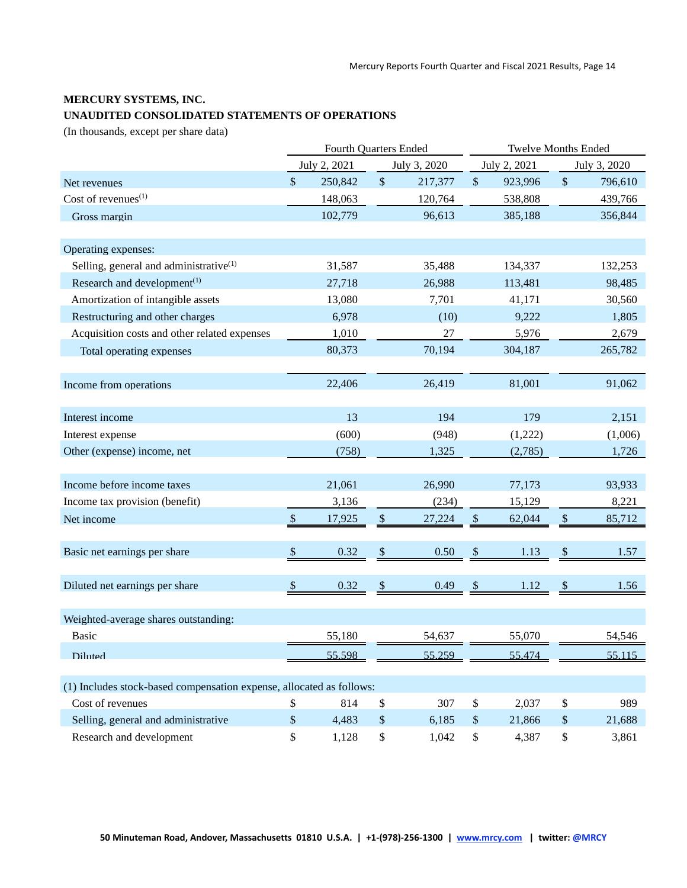# **MERCURY SYSTEMS, INC.**

# **UNAUDITED CONSOLIDATED STATEMENTS OF OPERATIONS**

(In thousands, except per share data)

|                                                                      |               | Fourth Quarters Ended |                           |              | <b>Twelve Months Ended</b> |              |                           |              |  |  |
|----------------------------------------------------------------------|---------------|-----------------------|---------------------------|--------------|----------------------------|--------------|---------------------------|--------------|--|--|
|                                                                      |               | July 2, 2021          |                           | July 3, 2020 |                            | July 2, 2021 |                           | July 3, 2020 |  |  |
| Net revenues                                                         | $\mathcal{S}$ | 250,842               | $\boldsymbol{\mathsf{S}}$ | 217,377      | $\boldsymbol{\mathsf{S}}$  | 923,996      | \$                        | 796,610      |  |  |
| Cost of revenues $(1)$                                               |               | 148,063               |                           | 120,764      |                            | 538,808      |                           | 439,766      |  |  |
| Gross margin                                                         |               | 102,779               |                           | 96,613       |                            | 385,188      |                           | 356,844      |  |  |
|                                                                      |               |                       |                           |              |                            |              |                           |              |  |  |
| Operating expenses:                                                  |               |                       |                           |              |                            |              |                           |              |  |  |
| Selling, general and administrative <sup>(1)</sup>                   |               | 31,587                |                           | 35,488       |                            | 134,337      |                           | 132,253      |  |  |
| Research and development <sup>(1)</sup>                              |               | 27,718                |                           | 26,988       |                            | 113,481      |                           | 98,485       |  |  |
| Amortization of intangible assets                                    |               | 13,080                |                           | 7,701        |                            | 41,171       |                           | 30,560       |  |  |
| Restructuring and other charges                                      |               | 6,978                 |                           | (10)         |                            | 9,222        |                           | 1,805        |  |  |
| Acquisition costs and other related expenses                         |               | 1,010                 |                           | 27           |                            | 5,976        |                           | 2,679        |  |  |
| Total operating expenses                                             |               | 80,373                |                           | 70,194       |                            | 304,187      |                           | 265,782      |  |  |
|                                                                      |               |                       |                           |              |                            |              |                           |              |  |  |
| Income from operations                                               |               | 22,406                |                           | 26,419       |                            | 81,001       |                           | 91,062       |  |  |
|                                                                      |               |                       |                           |              |                            |              |                           |              |  |  |
| Interest income                                                      |               | 13                    |                           | 194          |                            | 179          |                           | 2,151        |  |  |
| Interest expense                                                     |               | (600)                 |                           | (948)        |                            | (1,222)      |                           | (1,006)      |  |  |
| Other (expense) income, net                                          |               | (758)                 |                           | 1,325        |                            | (2,785)      |                           | 1,726        |  |  |
|                                                                      |               |                       |                           |              |                            |              |                           |              |  |  |
| Income before income taxes                                           |               | 21,061                |                           | 26,990       |                            | 77,173       |                           | 93,933       |  |  |
| Income tax provision (benefit)                                       |               | 3,136                 |                           | (234)        |                            | 15,129       |                           | 8,221        |  |  |
| Net income                                                           | $\sqrt$       | 17,925                | $\boldsymbol{\mathsf{S}}$ | 27,224       | \$                         | 62,044       | $\boldsymbol{\mathsf{S}}$ | 85,712       |  |  |
|                                                                      |               |                       |                           |              |                            |              |                           |              |  |  |
| Basic net earnings per share                                         | $\mathbb{S}$  | 0.32                  | \$                        | 0.50         | \$                         | 1.13         | \$                        | 1.57         |  |  |
|                                                                      |               |                       |                           |              |                            |              |                           |              |  |  |
| Diluted net earnings per share                                       | $\frac{1}{2}$ | 0.32                  |                           | 0.49         |                            | 1.12         |                           | 1.56         |  |  |
|                                                                      |               |                       |                           |              |                            |              |                           |              |  |  |
| Weighted-average shares outstanding:                                 |               |                       |                           |              |                            |              |                           |              |  |  |
| <b>Basic</b>                                                         |               | 55,180                |                           | 54,637       |                            | 55,070       |                           | 54,546       |  |  |
| <b>Diluted</b>                                                       |               | 55,598                |                           | 55,259       |                            | 55.474       |                           | 55.115       |  |  |
|                                                                      |               |                       |                           |              |                            |              |                           |              |  |  |
| (1) Includes stock-based compensation expense, allocated as follows: |               |                       |                           |              |                            |              |                           |              |  |  |
| Cost of revenues                                                     | \$            | 814                   | \$                        | 307          | \$                         | 2,037        | \$                        | 989          |  |  |
| Selling, general and administrative                                  | \$            | 4,483                 | $\boldsymbol{\mathsf{S}}$ | 6,185        | \$                         | 21,866       | $\$$                      | 21,688       |  |  |
| Research and development                                             | \$            | 1,128                 | \$                        | 1,042        | \$                         | 4,387        | \$                        | 3,861        |  |  |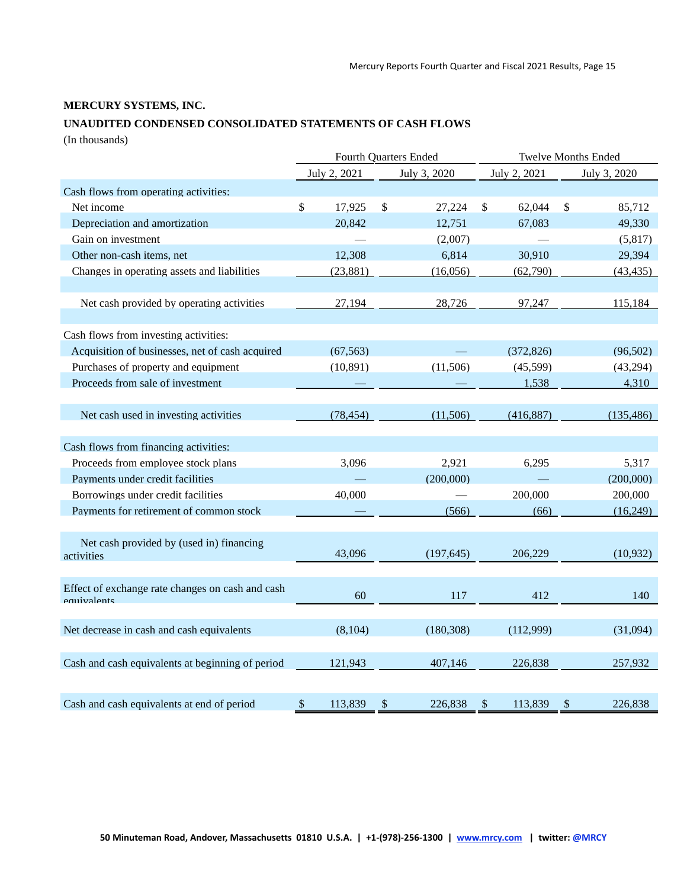# **MERCURY SYSTEMS, INC.**

# **UNAUDITED CONDENSED CONSOLIDATED STATEMENTS OF CASH FLOWS**

(In thousands)

|                                                                 |      |              | <b>Fourth Quarters Ended</b> |               | <b>Twelve Months Ended</b> |              |  |
|-----------------------------------------------------------------|------|--------------|------------------------------|---------------|----------------------------|--------------|--|
|                                                                 |      | July 2, 2021 | July 3, 2020                 | July 2, 2021  |                            | July 3, 2020 |  |
| Cash flows from operating activities:                           |      |              |                              |               |                            |              |  |
| Net income                                                      | $\$$ | 17,925       | \$<br>27,224                 | \$<br>62,044  | \$                         | 85,712       |  |
| Depreciation and amortization                                   |      | 20,842       | 12,751                       | 67,083        |                            | 49,330       |  |
| Gain on investment                                              |      |              | (2,007)                      |               |                            | (5,817)      |  |
| Other non-cash items, net                                       |      | 12,308       | 6,814                        | 30,910        |                            | 29,394       |  |
| Changes in operating assets and liabilities                     |      | (23, 881)    | (16,056)                     | (62,790)      |                            | (43, 435)    |  |
| Net cash provided by operating activities                       |      | 27,194       | 28,726                       | 97,247        |                            | 115,184      |  |
| Cash flows from investing activities:                           |      |              |                              |               |                            |              |  |
| Acquisition of businesses, net of cash acquired                 |      | (67, 563)    |                              | (372, 826)    |                            | (96, 502)    |  |
| Purchases of property and equipment                             |      | (10, 891)    | (11,506)                     | (45,599)      |                            | (43,294)     |  |
| Proceeds from sale of investment                                |      |              |                              | 1,538         |                            | 4,310        |  |
|                                                                 |      |              |                              |               |                            |              |  |
| Net cash used in investing activities                           |      | (78, 454)    | (11,506)                     | (416, 887)    |                            | (135, 486)   |  |
| Cash flows from financing activities:                           |      |              |                              |               |                            |              |  |
| Proceeds from employee stock plans                              |      | 3,096        | 2,921                        | 6,295         |                            | 5,317        |  |
| Payments under credit facilities                                |      |              | (200,000)                    |               |                            | (200,000)    |  |
| Borrowings under credit facilities                              |      | 40,000       |                              | 200,000       |                            | 200,000      |  |
| Payments for retirement of common stock                         |      |              | (566)                        | (66)          |                            | (16,249)     |  |
|                                                                 |      |              |                              |               |                            |              |  |
| Net cash provided by (used in) financing<br>activities          |      | 43,096       | (197, 645)                   | 206,229       |                            | (10, 932)    |  |
|                                                                 |      |              |                              |               |                            |              |  |
| Effect of exchange rate changes on cash and cash<br>equivalents |      | 60           | 117                          | 412           |                            | 140          |  |
|                                                                 |      |              |                              |               |                            |              |  |
| Net decrease in cash and cash equivalents                       |      | (8, 104)     | (180, 308)                   | (112,999)     |                            | (31,094)     |  |
| Cash and cash equivalents at beginning of period                |      | 121,943      | 407,146                      | 226,838       |                            | 257,932      |  |
|                                                                 |      |              |                              |               |                            |              |  |
| Cash and cash equivalents at end of period                      | \$   | 113,839      | \$<br>226,838                | \$<br>113,839 | \$                         | 226,838      |  |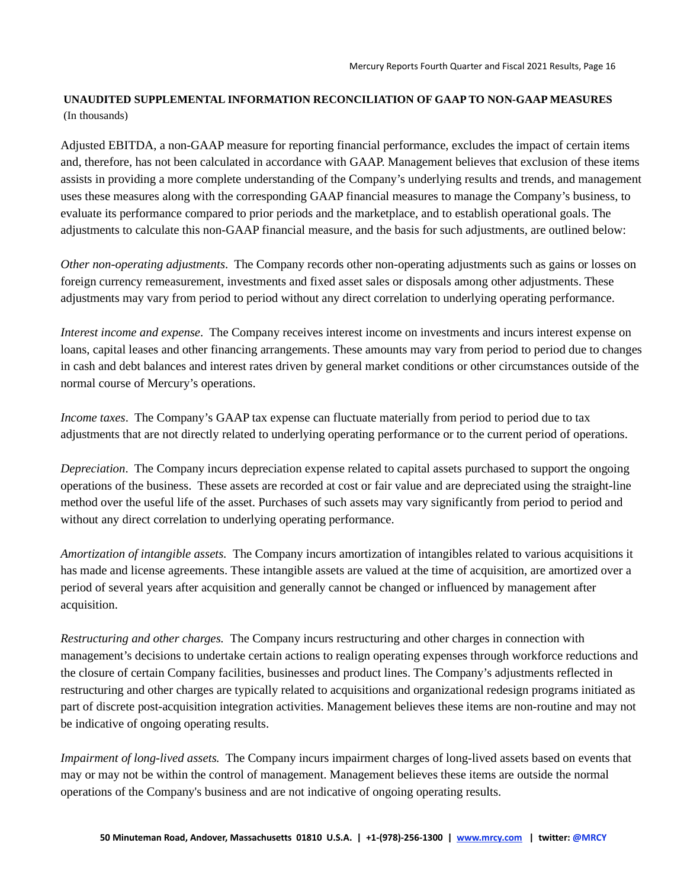# **UNAUDITED SUPPLEMENTAL INFORMATION RECONCILIATION OF GAAP TO NON-GAAP MEASURES** (In thousands)

Adjusted EBITDA, a non-GAAP measure for reporting financial performance, excludes the impact of certain items and, therefore, has not been calculated in accordance with GAAP. Management believes that exclusion of these items assists in providing a more complete understanding of the Company's underlying results and trends, and management uses these measures along with the corresponding GAAP financial measures to manage the Company's business, to evaluate its performance compared to prior periods and the marketplace, and to establish operational goals. The adjustments to calculate this non-GAAP financial measure, and the basis for such adjustments, are outlined below:

*Other non-operating adjustments*. The Company records other non-operating adjustments such as gains or losses on foreign currency remeasurement, investments and fixed asset sales or disposals among other adjustments. These adjustments may vary from period to period without any direct correlation to underlying operating performance.

*Interest income and expense*. The Company receives interest income on investments and incurs interest expense on loans, capital leases and other financing arrangements. These amounts may vary from period to period due to changes in cash and debt balances and interest rates driven by general market conditions or other circumstances outside of the normal course of Mercury's operations.

*Income taxes*. The Company's GAAP tax expense can fluctuate materially from period to period due to tax adjustments that are not directly related to underlying operating performance or to the current period of operations.

*Depreciation*. The Company incurs depreciation expense related to capital assets purchased to support the ongoing operations of the business. These assets are recorded at cost or fair value and are depreciated using the straight-line method over the useful life of the asset. Purchases of such assets may vary significantly from period to period and without any direct correlation to underlying operating performance.

*Amortization of intangible assets.* The Company incurs amortization of intangibles related to various acquisitions it has made and license agreements. These intangible assets are valued at the time of acquisition, are amortized over a period of several years after acquisition and generally cannot be changed or influenced by management after acquisition.

*Restructuring and other charges.* The Company incurs restructuring and other charges in connection with management's decisions to undertake certain actions to realign operating expenses through workforce reductions and the closure of certain Company facilities, businesses and product lines. The Company's adjustments reflected in restructuring and other charges are typically related to acquisitions and organizational redesign programs initiated as part of discrete post-acquisition integration activities. Management believes these items are non-routine and may not be indicative of ongoing operating results.

*Impairment of long-lived assets.* The Company incurs impairment charges of long-lived assets based on events that may or may not be within the control of management. Management believes these items are outside the normal operations of the Company's business and are not indicative of ongoing operating results.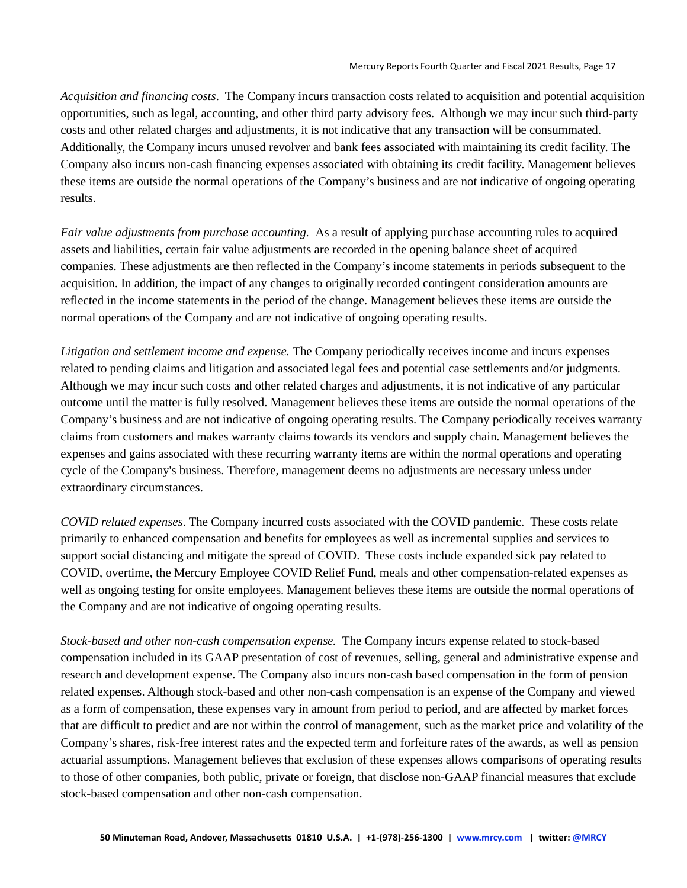*Acquisition and financing costs*. The Company incurs transaction costs related to acquisition and potential acquisition opportunities, such as legal, accounting, and other third party advisory fees. Although we may incur such third-party costs and other related charges and adjustments, it is not indicative that any transaction will be consummated. Additionally, the Company incurs unused revolver and bank fees associated with maintaining its credit facility. The Company also incurs non-cash financing expenses associated with obtaining its credit facility. Management believes these items are outside the normal operations of the Company's business and are not indicative of ongoing operating results.

*Fair value adjustments from purchase accounting.* As a result of applying purchase accounting rules to acquired assets and liabilities, certain fair value adjustments are recorded in the opening balance sheet of acquired companies. These adjustments are then reflected in the Company's income statements in periods subsequent to the acquisition. In addition, the impact of any changes to originally recorded contingent consideration amounts are reflected in the income statements in the period of the change. Management believes these items are outside the normal operations of the Company and are not indicative of ongoing operating results.

*Litigation and settlement income and expense.* The Company periodically receives income and incurs expenses related to pending claims and litigation and associated legal fees and potential case settlements and/or judgments. Although we may incur such costs and other related charges and adjustments, it is not indicative of any particular outcome until the matter is fully resolved. Management believes these items are outside the normal operations of the Company's business and are not indicative of ongoing operating results. The Company periodically receives warranty claims from customers and makes warranty claims towards its vendors and supply chain. Management believes the expenses and gains associated with these recurring warranty items are within the normal operations and operating cycle of the Company's business. Therefore, management deems no adjustments are necessary unless under extraordinary circumstances.

*COVID related expenses*. The Company incurred costs associated with the COVID pandemic. These costs relate primarily to enhanced compensation and benefits for employees as well as incremental supplies and services to support social distancing and mitigate the spread of COVID. These costs include expanded sick pay related to COVID, overtime, the Mercury Employee COVID Relief Fund, meals and other compensation-related expenses as well as ongoing testing for onsite employees. Management believes these items are outside the normal operations of the Company and are not indicative of ongoing operating results.

*Stock-based and other non-cash compensation expense.* The Company incurs expense related to stock-based compensation included in its GAAP presentation of cost of revenues, selling, general and administrative expense and research and development expense. The Company also incurs non-cash based compensation in the form of pension related expenses. Although stock-based and other non-cash compensation is an expense of the Company and viewed as a form of compensation, these expenses vary in amount from period to period, and are affected by market forces that are difficult to predict and are not within the control of management, such as the market price and volatility of the Company's shares, risk-free interest rates and the expected term and forfeiture rates of the awards, as well as pension actuarial assumptions. Management believes that exclusion of these expenses allows comparisons of operating results to those of other companies, both public, private or foreign, that disclose non-GAAP financial measures that exclude stock-based compensation and other non-cash compensation.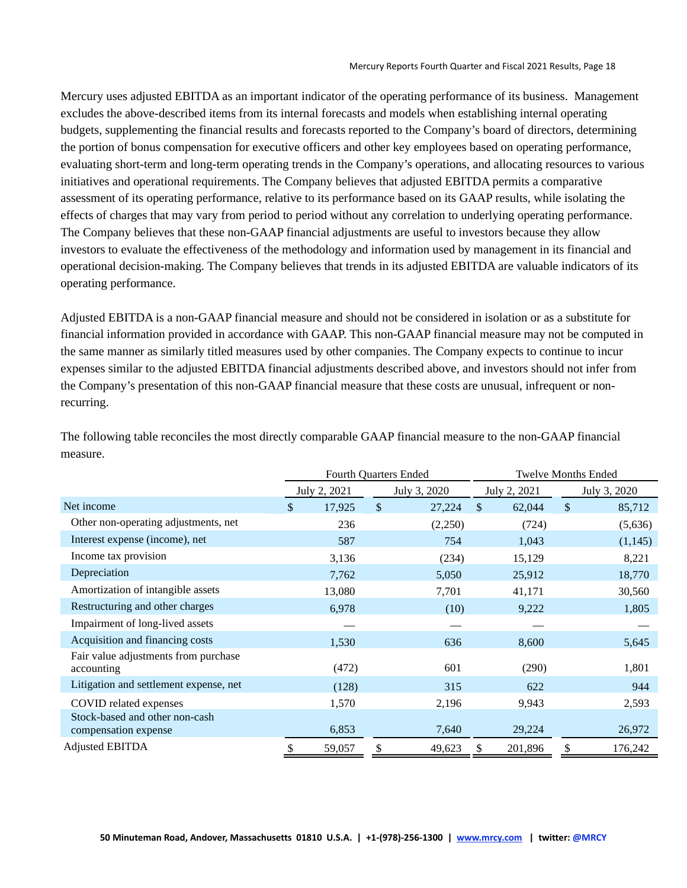Mercury uses adjusted EBITDA as an important indicator of the operating performance of its business. Management excludes the above-described items from its internal forecasts and models when establishing internal operating budgets, supplementing the financial results and forecasts reported to the Company's board of directors, determining the portion of bonus compensation for executive officers and other key employees based on operating performance, evaluating short-term and long-term operating trends in the Company's operations, and allocating resources to various initiatives and operational requirements. The Company believes that adjusted EBITDA permits a comparative assessment of its operating performance, relative to its performance based on its GAAP results, while isolating the effects of charges that may vary from period to period without any correlation to underlying operating performance. The Company believes that these non-GAAP financial adjustments are useful to investors because they allow investors to evaluate the effectiveness of the methodology and information used by management in its financial and operational decision-making. The Company believes that trends in its adjusted EBITDA are valuable indicators of its operating performance.

Adjusted EBITDA is a non-GAAP financial measure and should not be considered in isolation or as a substitute for financial information provided in accordance with GAAP. This non-GAAP financial measure may not be computed in the same manner as similarly titled measures used by other companies. The Company expects to continue to incur expenses similar to the adjusted EBITDA financial adjustments described above, and investors should not infer from the Company's presentation of this non-GAAP financial measure that these costs are unusual, infrequent or nonrecurring.

|                                                        |               | <b>Fourth Quarters Ended</b> |              | <b>Twelve Months Ended</b> |              |               |              |  |  |
|--------------------------------------------------------|---------------|------------------------------|--------------|----------------------------|--------------|---------------|--------------|--|--|
|                                                        |               | July 2, 2021                 | July 3, 2020 |                            | July 2, 2021 |               | July 3, 2020 |  |  |
| Net income                                             | $\mathcal{S}$ | 17,925                       | \$<br>27,224 | \$.                        | 62,044       | $\mathcal{S}$ | 85,712       |  |  |
| Other non-operating adjustments, net                   |               | 236                          | (2,250)      |                            | (724)        |               | (5,636)      |  |  |
| Interest expense (income), net                         |               | 587                          | 754          |                            | 1,043        |               | (1, 145)     |  |  |
| Income tax provision                                   |               | 3,136                        | (234)        |                            | 15,129       |               | 8,221        |  |  |
| Depreciation                                           |               | 7,762                        | 5,050        |                            | 25,912       |               | 18,770       |  |  |
| Amortization of intangible assets                      |               | 13,080                       | 7,701        |                            | 41,171       |               | 30,560       |  |  |
| Restructuring and other charges                        |               | 6,978                        | (10)         |                            | 9,222        |               | 1,805        |  |  |
| Impairment of long-lived assets                        |               |                              |              |                            |              |               |              |  |  |
| Acquisition and financing costs                        |               | 1,530                        | 636          |                            | 8,600        |               | 5,645        |  |  |
| Fair value adjustments from purchase<br>accounting     |               | (472)                        | 601          |                            | (290)        |               | 1,801        |  |  |
| Litigation and settlement expense, net                 |               | (128)                        | 315          |                            | 622          |               | 944          |  |  |
| COVID related expenses                                 |               | 1,570                        | 2,196        |                            | 9,943        |               | 2,593        |  |  |
| Stock-based and other non-cash<br>compensation expense |               | 6,853                        | 7,640        |                            | 29,224       |               | 26,972       |  |  |
| <b>Adjusted EBITDA</b>                                 | \$            | 59,057                       | \$<br>49,623 | \$                         | 201,896      | \$            | 176,242      |  |  |

The following table reconciles the most directly comparable GAAP financial measure to the non-GAAP financial measure.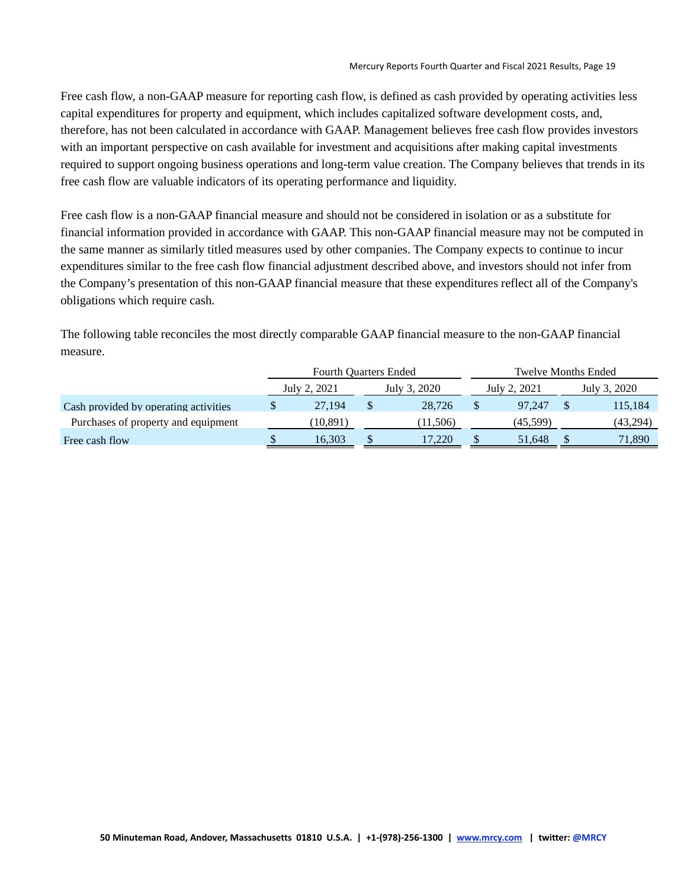Free cash flow, a non-GAAP measure for reporting cash flow, is defined as cash provided by operating activities less capital expenditures for property and equipment, which includes capitalized software development costs, and, therefore, has not been calculated in accordance with GAAP. Management believes free cash flow provides investors with an important perspective on cash available for investment and acquisitions after making capital investments required to support ongoing business operations and long-term value creation. The Company believes that trends in its free cash flow are valuable indicators of its operating performance and liquidity.

Free cash flow is a non-GAAP financial measure and should not be considered in isolation or as a substitute for financial information provided in accordance with GAAP. This non-GAAP financial measure may not be computed in the same manner as similarly titled measures used by other companies. The Company expects to continue to incur expenditures similar to the free cash flow financial adjustment described above, and investors should not infer from the Company's presentation of this non-GAAP financial measure that these expenditures reflect all of the Company's obligations which require cash.

The following table reconciles the most directly comparable GAAP financial measure to the non-GAAP financial measure.

|                                       |                              | <b>Fourth Quarters Ended</b> |  |          |    |              |    | Twelve Months Ended |  |  |  |
|---------------------------------------|------------------------------|------------------------------|--|----------|----|--------------|----|---------------------|--|--|--|
|                                       | July 3, 2020<br>July 2, 2021 |                              |  |          |    | July 2, 2021 |    | July 3, 2020        |  |  |  |
| Cash provided by operating activities |                              | 27.194                       |  | 28,726   |    | \$<br>97,247 |    | 15,184              |  |  |  |
| Purchases of property and equipment   |                              | (10,891)                     |  | (11,506) |    | (45, 599)    |    | (43,294)            |  |  |  |
| Free cash flow                        |                              | 16,303                       |  | 17.220   | \$ | 51.648       | ۰D | 71,890              |  |  |  |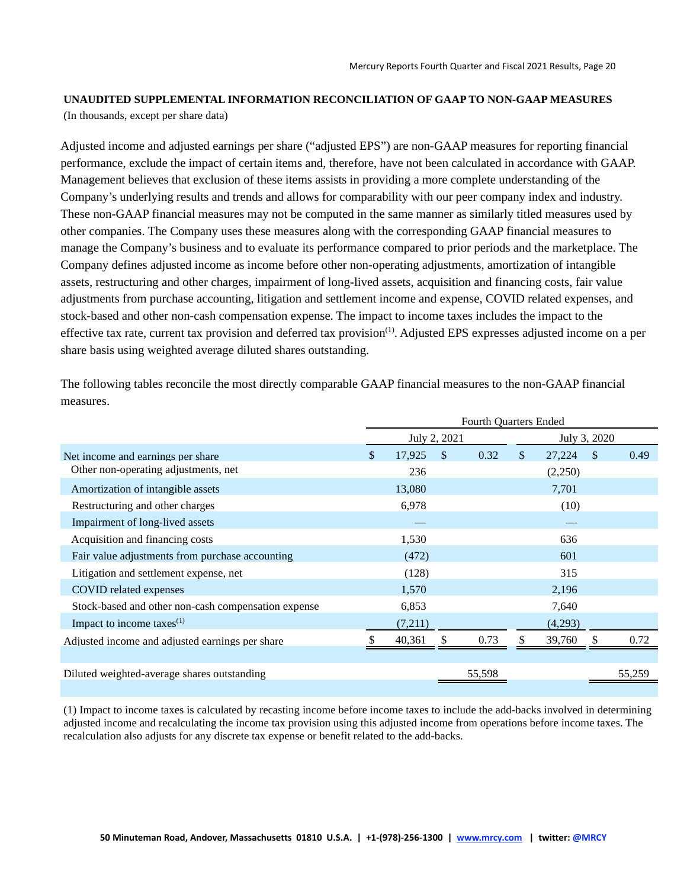# **UNAUDITED SUPPLEMENTAL INFORMATION RECONCILIATION OF GAAP TO NON-GAAP MEASURES** (In thousands, except per share data)

Adjusted income and adjusted earnings per share ("adjusted EPS") are non-GAAP measures for reporting financial performance, exclude the impact of certain items and, therefore, have not been calculated in accordance with GAAP. Management believes that exclusion of these items assists in providing a more complete understanding of the Company's underlying results and trends and allows for comparability with our peer company index and industry. These non-GAAP financial measures may not be computed in the same manner as similarly titled measures used by other companies. The Company uses these measures along with the corresponding GAAP financial measures to manage the Company's business and to evaluate its performance compared to prior periods and the marketplace. The Company defines adjusted income as income before other non-operating adjustments, amortization of intangible assets, restructuring and other charges, impairment of long-lived assets, acquisition and financing costs, fair value adjustments from purchase accounting, litigation and settlement income and expense, COVID related expenses, and stock-based and other non-cash compensation expense. The impact to income taxes includes the impact to the effective tax rate, current tax provision and deferred tax provision<sup>(1)</sup>. Adjusted EPS expresses adjusted income on a per share basis using weighted average diluted shares outstanding.

|                                                     | <b>Fourth Quarters Ended</b> |         |              |        |    |              |              |        |  |  |  |  |
|-----------------------------------------------------|------------------------------|---------|--------------|--------|----|--------------|--------------|--------|--|--|--|--|
|                                                     |                              |         | July 2, 2021 |        |    | July 3, 2020 |              |        |  |  |  |  |
| Net income and earnings per share                   | \$                           | 17,925  | $\mathbb{S}$ | 0.32   | \$ | 27,224       | $\mathbb{S}$ | 0.49   |  |  |  |  |
| Other non-operating adjustments, net                |                              | 236     |              |        |    | (2,250)      |              |        |  |  |  |  |
| Amortization of intangible assets                   |                              | 13,080  |              |        |    | 7,701        |              |        |  |  |  |  |
| Restructuring and other charges                     |                              | 6,978   |              |        |    | (10)         |              |        |  |  |  |  |
| Impairment of long-lived assets                     |                              |         |              |        |    |              |              |        |  |  |  |  |
| Acquisition and financing costs                     |                              | 1,530   |              |        |    | 636          |              |        |  |  |  |  |
| Fair value adjustments from purchase accounting     |                              | (472)   |              |        |    | 601          |              |        |  |  |  |  |
| Litigation and settlement expense, net              |                              | (128)   |              |        |    | 315          |              |        |  |  |  |  |
| COVID related expenses                              |                              | 1,570   |              |        |    | 2,196        |              |        |  |  |  |  |
| Stock-based and other non-cash compensation expense |                              | 6,853   |              |        |    | 7,640        |              |        |  |  |  |  |
| Impact to income taxes $(1)$                        |                              | (7,211) |              |        |    | (4,293)      |              |        |  |  |  |  |
| Adjusted income and adjusted earnings per share     |                              | 40,361  | Ж            | 0.73   |    | 39,760       | Ж.           | 0.72   |  |  |  |  |
|                                                     |                              |         |              |        |    |              |              |        |  |  |  |  |
| Diluted weighted-average shares outstanding         |                              |         |              | 55.598 |    |              |              | 55.259 |  |  |  |  |
|                                                     |                              |         |              |        |    |              |              |        |  |  |  |  |

The following tables reconcile the most directly comparable GAAP financial measures to the non-GAAP financial measures.

(1) Impact to income taxes is calculated by recasting income before income taxes to include the add-backs involved in determining adjusted income and recalculating the income tax provision using this adjusted income from operations before income taxes. The recalculation also adjusts for any discrete tax expense or benefit related to the add-backs.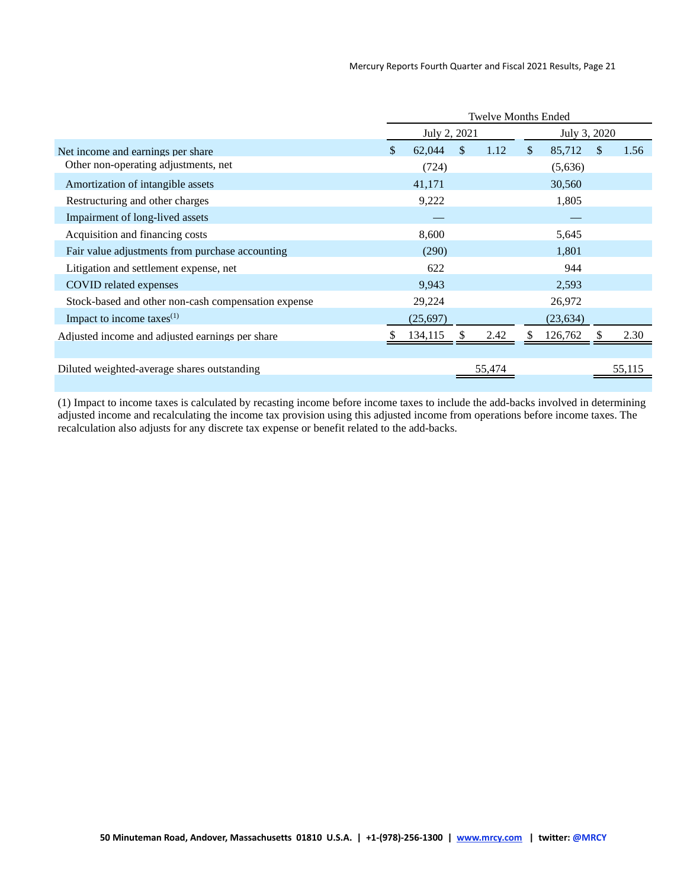|                                                     | <b>Twelve Months Ended</b> |                |               |        |              |              |               |        |  |  |  |
|-----------------------------------------------------|----------------------------|----------------|---------------|--------|--------------|--------------|---------------|--------|--|--|--|
|                                                     |                            | July 2, 2021   |               |        |              | July 3, 2020 |               |        |  |  |  |
| Net income and earnings per share                   | \$.                        | 62,044         | <sup>\$</sup> | 1.12   | $\mathbb{S}$ | 85,712       | <sup>\$</sup> | 1.56   |  |  |  |
| Other non-operating adjustments, net                |                            | (724)          |               |        |              | (5,636)      |               |        |  |  |  |
| Amortization of intangible assets                   |                            | 41,171         |               |        |              | 30,560       |               |        |  |  |  |
| Restructuring and other charges                     |                            | 9,222          |               |        |              | 1,805        |               |        |  |  |  |
| Impairment of long-lived assets                     |                            |                |               |        |              |              |               |        |  |  |  |
| Acquisition and financing costs                     |                            | 8,600<br>5,645 |               |        |              |              |               |        |  |  |  |
| Fair value adjustments from purchase accounting     |                            | (290)          |               |        |              | 1,801        |               |        |  |  |  |
| Litigation and settlement expense, net              |                            | 622            |               |        |              | 944          |               |        |  |  |  |
| COVID related expenses                              |                            | 9,943          |               |        |              | 2,593        |               |        |  |  |  |
| Stock-based and other non-cash compensation expense |                            | 29,224         |               |        |              | 26,972       |               |        |  |  |  |
| Impact to income taxes $(1)$                        |                            | (25, 697)      |               |        |              | (23, 634)    |               |        |  |  |  |
| Adjusted income and adjusted earnings per share     |                            | 134,115        |               | 2.42   |              | 126,762      |               | 2.30   |  |  |  |
|                                                     |                            |                |               |        |              |              |               |        |  |  |  |
| Diluted weighted-average shares outstanding         |                            |                |               | 55.474 |              |              |               | 55.115 |  |  |  |
|                                                     |                            |                |               |        |              |              |               |        |  |  |  |

(1) Impact to income taxes is calculated by recasting income before income taxes to include the add-backs involved in determining adjusted income and recalculating the income tax provision using this adjusted income from operations before income taxes. The recalculation also adjusts for any discrete tax expense or benefit related to the add-backs.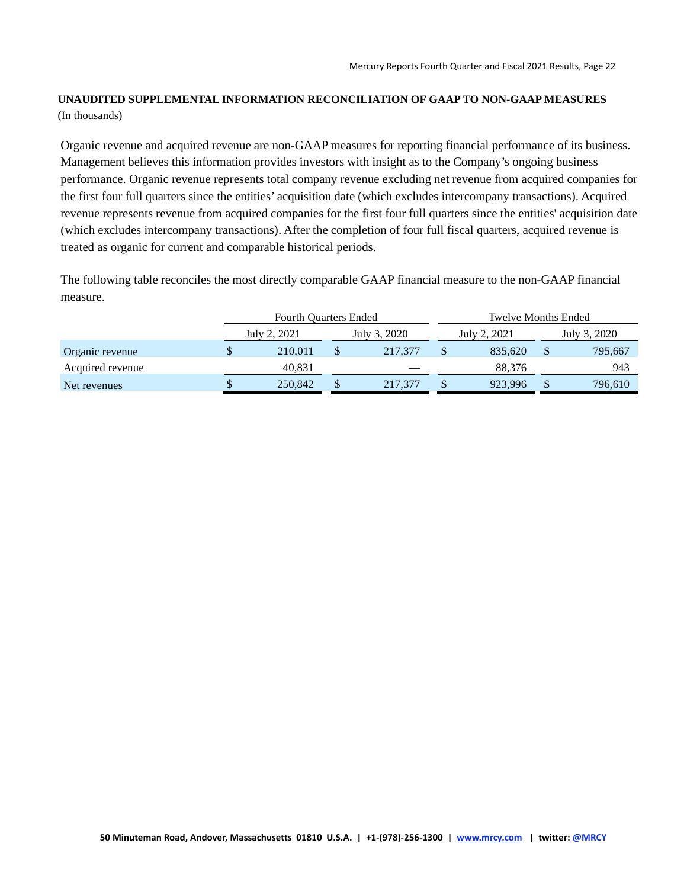# **UNAUDITED SUPPLEMENTAL INFORMATION RECONCILIATION OF GAAP TO NON-GAAP MEASURES** (In thousands)

Organic revenue and acquired revenue are non-GAAP measures for reporting financial performance of its business. Management believes this information provides investors with insight as to the Company's ongoing business performance. Organic revenue represents total company revenue excluding net revenue from acquired companies for the first four full quarters since the entities' acquisition date (which excludes intercompany transactions). Acquired revenue represents revenue from acquired companies for the first four full quarters since the entities' acquisition date (which excludes intercompany transactions). After the completion of four full fiscal quarters, acquired revenue is treated as organic for current and comparable historical periods.

The following table reconciles the most directly comparable GAAP financial measure to the non-GAAP financial measure.

|                  | <b>Fourth Ouarters Ended</b> |              |              | <b>Twelve Months Ended</b> |         |  |  |
|------------------|------------------------------|--------------|--------------|----------------------------|---------|--|--|
|                  | July 2, 2021                 | July 3, 2020 | July 2, 2021 | July 3, 2020               |         |  |  |
| Organic revenue  | 210.011                      | 217,377      | 835.620      |                            | 795,667 |  |  |
| Acquired revenue | 40.831                       |              | 88.376       |                            | 943     |  |  |
| Net revenues     | 250.842                      | 217,377      | 923.996      |                            | 796,610 |  |  |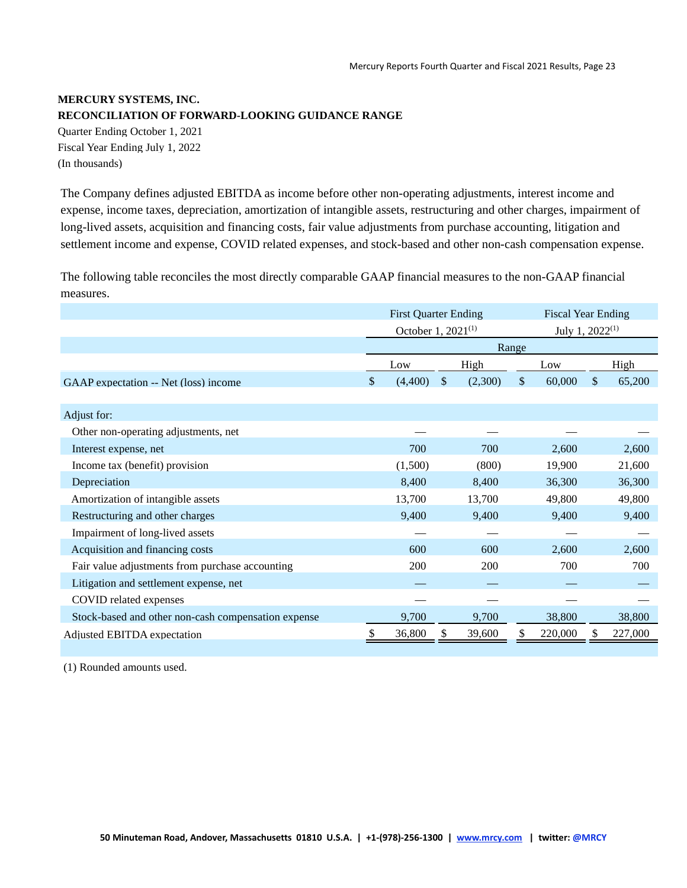# **MERCURY SYSTEMS, INC. RECONCILIATION OF FORWARD-LOOKING GUIDANCE RANGE**

Quarter Ending October 1, 2021 Fiscal Year Ending July 1, 2022 (In thousands)

The Company defines adjusted EBITDA as income before other non-operating adjustments, interest income and expense, income taxes, depreciation, amortization of intangible assets, restructuring and other charges, impairment of long-lived assets, acquisition and financing costs, fair value adjustments from purchase accounting, litigation and settlement income and expense, COVID related expenses, and stock-based and other non-cash compensation expense.

The following table reconciles the most directly comparable GAAP financial measures to the non-GAAP financial measures.

|                                                     |     | <b>First Quarter Ending</b>    |               |         | <b>Fiscal Year Ending</b>   |         |    |         |
|-----------------------------------------------------|-----|--------------------------------|---------------|---------|-----------------------------|---------|----|---------|
|                                                     |     | October 1, 2021 <sup>(1)</sup> |               |         | July 1, 2022 <sup>(1)</sup> |         |    |         |
|                                                     |     |                                |               |         | Range                       |         |    |         |
|                                                     |     | Low                            |               | High    | Low                         |         |    | High    |
| GAAP expectation -- Net (loss) income               | \$. | (4,400)                        | $\mathcal{S}$ | (2,300) | $\mathcal{S}$               | 60,000  | \$ | 65,200  |
|                                                     |     |                                |               |         |                             |         |    |         |
| Adjust for:                                         |     |                                |               |         |                             |         |    |         |
| Other non-operating adjustments, net                |     |                                |               |         |                             |         |    |         |
| Interest expense, net                               |     | 700                            |               | 700     |                             | 2,600   |    | 2,600   |
| Income tax (benefit) provision                      |     | (1,500)                        |               | (800)   |                             | 19,900  |    | 21,600  |
| Depreciation                                        |     | 8,400                          |               | 8,400   |                             | 36,300  |    | 36,300  |
| Amortization of intangible assets                   |     | 13,700                         |               | 13,700  |                             | 49,800  |    | 49,800  |
| Restructuring and other charges                     |     | 9,400                          |               | 9,400   |                             | 9,400   |    | 9,400   |
| Impairment of long-lived assets                     |     |                                |               |         |                             |         |    |         |
| Acquisition and financing costs                     |     | 600                            |               | 600     |                             | 2,600   |    | 2,600   |
| Fair value adjustments from purchase accounting     |     | 200                            |               | 200     |                             | 700     |    | 700     |
| Litigation and settlement expense, net              |     |                                |               |         |                             |         |    |         |
| COVID related expenses                              |     |                                |               |         |                             |         |    |         |
| Stock-based and other non-cash compensation expense |     | 9,700                          |               | 9,700   |                             | 38,800  |    | 38,800  |
| Adjusted EBITDA expectation                         |     | 36,800                         |               | 39,600  |                             | 220,000 |    | 227,000 |

(1) Rounded amounts used.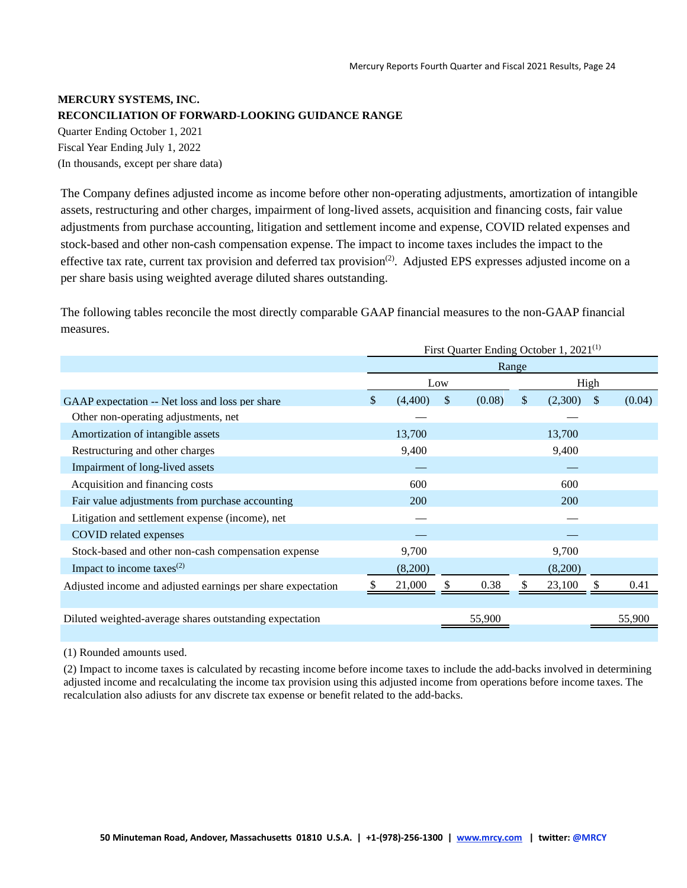# **MERCURY SYSTEMS, INC. RECONCILIATION OF FORWARD-LOOKING GUIDANCE RANGE**

Quarter Ending October 1, 2021 Fiscal Year Ending July 1, 2022 (In thousands, except per share data)

The Company defines adjusted income as income before other non-operating adjustments, amortization of intangible assets, restructuring and other charges, impairment of long-lived assets, acquisition and financing costs, fair value adjustments from purchase accounting, litigation and settlement income and expense, COVID related expenses and stock-based and other non-cash compensation expense. The impact to income taxes includes the impact to the effective tax rate, current tax provision and deferred tax provision<sup> $(2)$ </sup>. Adjusted EPS expresses adjusted income on a per share basis using weighted average diluted shares outstanding.

The following tables reconcile the most directly comparable GAAP financial measures to the non-GAAP financial measures.

|                                                             | First Quarter Ending October 1, $2021^{(1)}$ |         |               |        |       |         |               |        |  |  |  |  |
|-------------------------------------------------------------|----------------------------------------------|---------|---------------|--------|-------|---------|---------------|--------|--|--|--|--|
|                                                             |                                              |         |               |        | Range |         |               |        |  |  |  |  |
|                                                             |                                              |         | Low           |        |       |         | High          |        |  |  |  |  |
| GAAP expectation -- Net loss and loss per share             |                                              | (4,400) | $\mathcal{S}$ | (0.08) | \$    | (2,300) | <sup>\$</sup> | (0.04) |  |  |  |  |
| Other non-operating adjustments, net                        |                                              |         |               |        |       |         |               |        |  |  |  |  |
| Amortization of intangible assets                           |                                              | 13,700  |               |        |       | 13,700  |               |        |  |  |  |  |
| Restructuring and other charges                             |                                              | 9,400   |               |        |       | 9,400   |               |        |  |  |  |  |
| Impairment of long-lived assets                             |                                              |         |               |        |       |         |               |        |  |  |  |  |
| Acquisition and financing costs                             |                                              | 600     |               |        |       | 600     |               |        |  |  |  |  |
| Fair value adjustments from purchase accounting             |                                              | 200     |               |        |       | 200     |               |        |  |  |  |  |
| Litigation and settlement expense (income), net             |                                              |         |               |        |       |         |               |        |  |  |  |  |
| COVID related expenses                                      |                                              |         |               |        |       |         |               |        |  |  |  |  |
| Stock-based and other non-cash compensation expense         |                                              | 9,700   |               |        |       | 9,700   |               |        |  |  |  |  |
| Impact to income taxes <sup><math>(2)</math></sup>          |                                              | (8,200) |               |        |       | (8,200) |               |        |  |  |  |  |
| Adjusted income and adjusted earnings per share expectation |                                              | 21,000  |               | 0.38   |       | 23,100  |               | 0.41   |  |  |  |  |
|                                                             |                                              |         |               |        |       |         |               |        |  |  |  |  |
| Diluted weighted-average shares outstanding expectation     |                                              |         |               | 55,900 |       |         |               | 55,900 |  |  |  |  |
|                                                             |                                              |         |               |        |       |         |               |        |  |  |  |  |

(1) Rounded amounts used.

(2) Impact to income taxes is calculated by recasting income before income taxes to include the add-backs involved in determining adjusted income and recalculating the income tax provision using this adjusted income from operations before income taxes. The recalculation also adjusts for any discrete tax expense or benefit related to the add-backs.